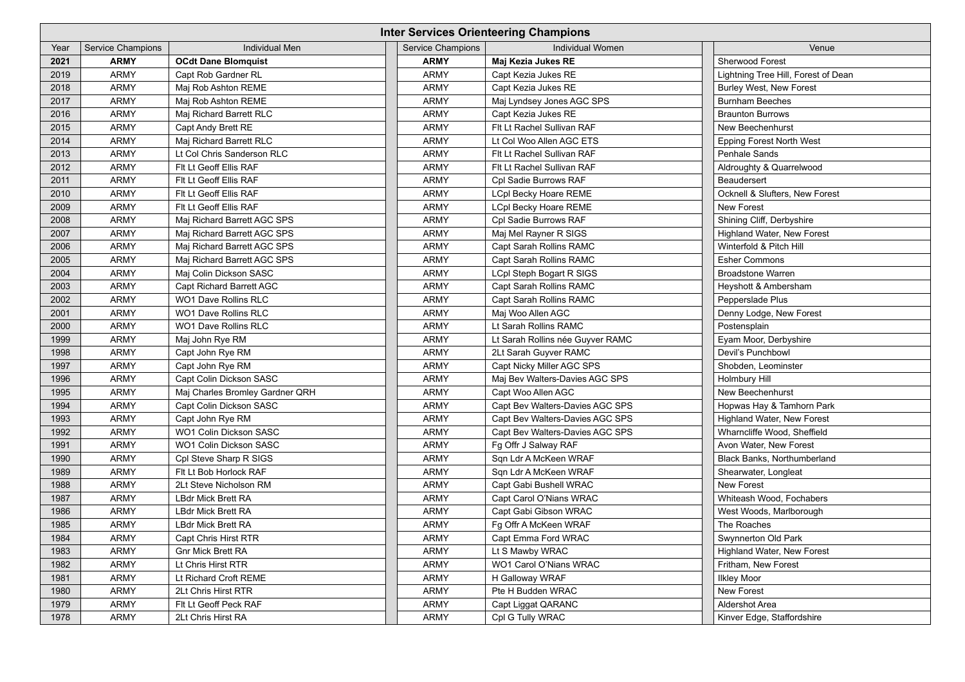| <b>Inter Services Orienteering Champions</b> |                          |                                 |                          |                                  |                                           |  |  |  |
|----------------------------------------------|--------------------------|---------------------------------|--------------------------|----------------------------------|-------------------------------------------|--|--|--|
| Year                                         | <b>Service Champions</b> | <b>Individual Men</b>           | <b>Service Champions</b> | <b>Individual Women</b>          | Venue                                     |  |  |  |
| 2021                                         | <b>ARMY</b>              | <b>OCdt Dane Blomquist</b>      | <b>ARMY</b>              | Maj Kezia Jukes RE               | <b>Sherwood Forest</b>                    |  |  |  |
| 2019                                         | <b>ARMY</b>              | Capt Rob Gardner RL             | <b>ARMY</b>              | Capt Kezia Jukes RE              | Lightning Tree Hill, Forest of Dean       |  |  |  |
| 2018                                         | <b>ARMY</b>              | Maj Rob Ashton REME             | <b>ARMY</b>              | Capt Kezia Jukes RE              | <b>Burley West, New Forest</b>            |  |  |  |
| 2017                                         | <b>ARMY</b>              | Maj Rob Ashton REME             | <b>ARMY</b>              | Maj Lyndsey Jones AGC SPS        | <b>Burnham Beeches</b>                    |  |  |  |
| 2016                                         | <b>ARMY</b>              | Maj Richard Barrett RLC         | <b>ARMY</b>              | Capt Kezia Jukes RE              | <b>Braunton Burrows</b>                   |  |  |  |
| 2015                                         | <b>ARMY</b>              | <b>Capt Andy Brett RE</b>       | <b>ARMY</b>              | Flt Lt Rachel Sullivan RAF       | New Beechenhurst                          |  |  |  |
| 2014                                         | <b>ARMY</b>              | Maj Richard Barrett RLC         | <b>ARMY</b>              | Lt Col Woo Allen AGC ETS         | <b>Epping Forest North West</b>           |  |  |  |
| 2013                                         | <b>ARMY</b>              | Lt Col Chris Sanderson RLC      | <b>ARMY</b>              | Fit Lt Rachel Sullivan RAF       | <b>Penhale Sands</b>                      |  |  |  |
| 2012                                         | <b>ARMY</b>              | Fit Lt Geoff Ellis RAF          | <b>ARMY</b>              | Flt Lt Rachel Sullivan RAF       | Aldroughty & Quarrelwood                  |  |  |  |
| 2011                                         | <b>ARMY</b>              | Flt Lt Geoff Ellis RAF          | <b>ARMY</b>              | Cpl Sadie Burrows RAF            | Beaudersert                               |  |  |  |
| 2010                                         | <b>ARMY</b>              | Fit Lt Geoff Ellis RAF          | <b>ARMY</b>              | <b>LCpl Becky Hoare REME</b>     | <b>Ocknell &amp; Slufters, New Forest</b> |  |  |  |
| 2009                                         | <b>ARMY</b>              | Fit Lt Geoff Ellis RAF          | <b>ARMY</b>              | <b>LCpl Becky Hoare REME</b>     | <b>New Forest</b>                         |  |  |  |
| 2008                                         | <b>ARMY</b>              | Maj Richard Barrett AGC SPS     | <b>ARMY</b>              | Cpl Sadie Burrows RAF            | Shining Cliff, Derbyshire                 |  |  |  |
| 2007                                         | <b>ARMY</b>              | Maj Richard Barrett AGC SPS     | <b>ARMY</b>              | Maj Mel Rayner R SIGS            | Highland Water, New Forest                |  |  |  |
| 2006                                         | <b>ARMY</b>              | Maj Richard Barrett AGC SPS     | <b>ARMY</b>              | <b>Capt Sarah Rollins RAMC</b>   | Winterfold & Pitch Hill                   |  |  |  |
| 2005                                         | <b>ARMY</b>              | Maj Richard Barrett AGC SPS     | <b>ARMY</b>              | <b>Capt Sarah Rollins RAMC</b>   | <b>Esher Commons</b>                      |  |  |  |
| 2004                                         | <b>ARMY</b>              | Maj Colin Dickson SASC          | <b>ARMY</b>              | <b>LCpl Steph Bogart R SIGS</b>  | <b>Broadstone Warren</b>                  |  |  |  |
| 2003                                         | <b>ARMY</b>              | <b>Capt Richard Barrett AGC</b> | <b>ARMY</b>              | <b>Capt Sarah Rollins RAMC</b>   | Heyshott & Ambersham                      |  |  |  |
| 2002                                         | <b>ARMY</b>              | <b>WO1 Dave Rollins RLC</b>     | <b>ARMY</b>              | <b>Capt Sarah Rollins RAMC</b>   | Pepperslade Plus                          |  |  |  |
| 2001                                         | <b>ARMY</b>              | <b>WO1 Dave Rollins RLC</b>     | <b>ARMY</b>              | Maj Woo Allen AGC                | Denny Lodge, New Forest                   |  |  |  |
| 2000                                         | <b>ARMY</b>              | <b>WO1 Dave Rollins RLC</b>     | <b>ARMY</b>              | Lt Sarah Rollins RAMC            | Postensplain                              |  |  |  |
| 1999                                         | <b>ARMY</b>              | Maj John Rye RM                 | <b>ARMY</b>              | Lt Sarah Rollins née Guyver RAMC | Eyam Moor, Derbyshire                     |  |  |  |
| 1998                                         | <b>ARMY</b>              | Capt John Rye RM                | <b>ARMY</b>              | 2Lt Sarah Guyver RAMC            | Devil's Punchbowl                         |  |  |  |
| 1997                                         | <b>ARMY</b>              | Capt John Rye RM                | <b>ARMY</b>              | Capt Nicky Miller AGC SPS        | Shobden, Leominster                       |  |  |  |
| 1996                                         | <b>ARMY</b>              | Capt Colin Dickson SASC         | <b>ARMY</b>              | Maj Bev Walters-Davies AGC SPS   | <b>Holmbury Hill</b>                      |  |  |  |
| 1995                                         | <b>ARMY</b>              | Maj Charles Bromley Gardner QRH | <b>ARMY</b>              | Capt Woo Allen AGC               | New Beechenhurst                          |  |  |  |
| 1994                                         | <b>ARMY</b>              | Capt Colin Dickson SASC         | <b>ARMY</b>              | Capt Bev Walters-Davies AGC SPS  | Hopwas Hay & Tamhorn Park                 |  |  |  |
| 1993                                         | <b>ARMY</b>              | Capt John Rye RM                | <b>ARMY</b>              | Capt Bev Walters-Davies AGC SPS  | <b>Highland Water, New Forest</b>         |  |  |  |
| 1992                                         | <b>ARMY</b>              | <b>WO1 Colin Dickson SASC</b>   | <b>ARMY</b>              | Capt Bev Walters-Davies AGC SPS  | Wharncliffe Wood, Sheffield               |  |  |  |
| 1991                                         | <b>ARMY</b>              | <b>WO1 Colin Dickson SASC</b>   | <b>ARMY</b>              | Fg Offr J Salway RAF             | Avon Water, New Forest                    |  |  |  |
| 1990                                         | <b>ARMY</b>              | Cpl Steve Sharp R SIGS          | <b>ARMY</b>              | Sqn Ldr A McKeen WRAF            | <b>Black Banks, Northumberland</b>        |  |  |  |
| 1989                                         | <b>ARMY</b>              | Fit Lt Bob Horlock RAF          | <b>ARMY</b>              | Sqn Ldr A McKeen WRAF            | Shearwater, Longleat                      |  |  |  |
| 1988                                         | <b>ARMY</b>              | 2Lt Steve Nicholson RM          | <b>ARMY</b>              | Capt Gabi Bushell WRAC           | New Forest                                |  |  |  |
| 1987                                         | <b>ARMY</b>              | <b>LBdr Mick Brett RA</b>       | <b>ARMY</b>              | Capt Carol O'Nians WRAC          | Whiteash Wood, Fochabers                  |  |  |  |
| 1986                                         | <b>ARMY</b>              | <b>LBdr Mick Brett RA</b>       | <b>ARMY</b>              | Capt Gabi Gibson WRAC            | West Woods, Marlborough                   |  |  |  |
| 1985                                         | <b>ARMY</b>              | <b>LBdr Mick Brett RA</b>       | <b>ARMY</b>              | Fg Offr A McKeen WRAF            | The Roaches                               |  |  |  |
| 1984                                         | <b>ARMY</b>              | <b>Capt Chris Hirst RTR</b>     | <b>ARMY</b>              | Capt Emma Ford WRAC              | <b>Swynnerton Old Park</b>                |  |  |  |
| 1983                                         | <b>ARMY</b>              | <b>Gnr Mick Brett RA</b>        | <b>ARMY</b>              | Lt S Mawby WRAC                  | <b>Highland Water, New Forest</b>         |  |  |  |
| 1982                                         | <b>ARMY</b>              | Lt Chris Hirst RTR              | <b>ARMY</b>              | WO1 Carol O'Nians WRAC           | Fritham, New Forest                       |  |  |  |
| 1981                                         | <b>ARMY</b>              | Lt Richard Croft REME           | <b>ARMY</b>              | H Galloway WRAF                  | <b>Ilkley Moor</b>                        |  |  |  |
| 1980                                         | <b>ARMY</b>              | <b>2Lt Chris Hirst RTR</b>      | <b>ARMY</b>              | Pte H Budden WRAC                | <b>New Forest</b>                         |  |  |  |
| 1979                                         | <b>ARMY</b>              | Fit Lt Geoff Peck RAF           | <b>ARMY</b>              | Capt Liggat QARANC               | Aldershot Area                            |  |  |  |
| 1978                                         | <b>ARMY</b>              | 2Lt Chris Hirst RA              | <b>ARMY</b>              | Cpl G Tully WRAC                 | Kinver Edge, Staffordshire                |  |  |  |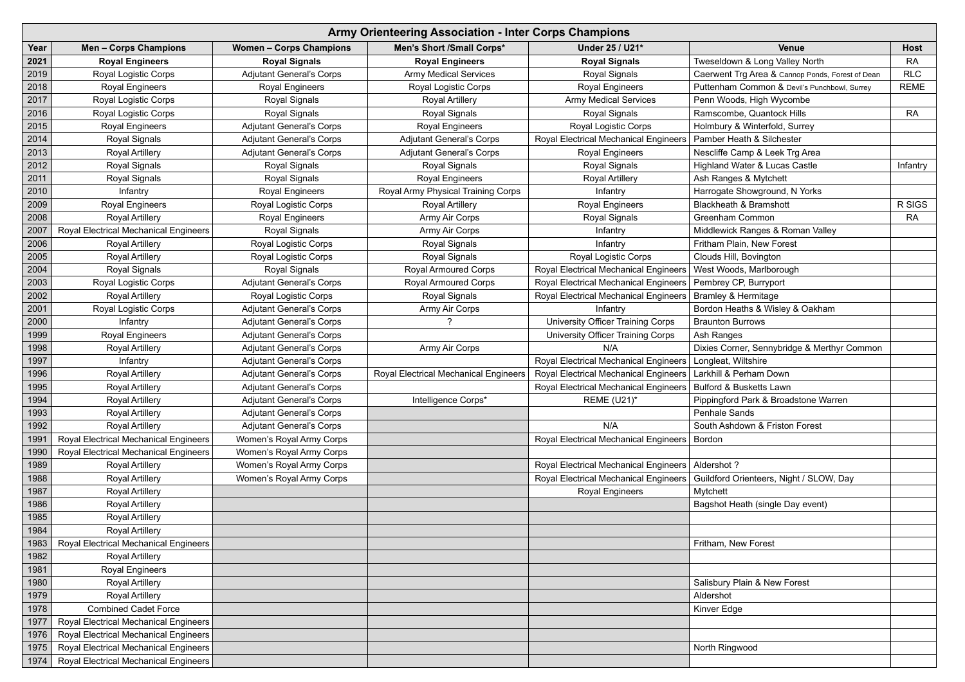|      | <b>Army Orienteering Association - Inter Corps Champions</b> |                                 |                                       |                                                                 |                                                  |             |  |  |  |
|------|--------------------------------------------------------------|---------------------------------|---------------------------------------|-----------------------------------------------------------------|--------------------------------------------------|-------------|--|--|--|
| Year | <b>Men-Corps Champions</b>                                   | <b>Women - Corps Champions</b>  | <b>Men's Short /Small Corps*</b>      | Under 25 / U21*                                                 | <b>Venue</b>                                     | <b>Host</b> |  |  |  |
| 2021 | <b>Royal Engineers</b>                                       | <b>Royal Signals</b>            | <b>Royal Engineers</b>                | <b>Royal Signals</b>                                            | Tweseldown & Long Valley North                   | <b>RA</b>   |  |  |  |
| 2019 | <b>Royal Logistic Corps</b>                                  | <b>Adjutant General's Corps</b> | <b>Army Medical Services</b>          | <b>Royal Signals</b>                                            | Caerwent Trg Area & Cannop Ponds, Forest of Dean | <b>RLC</b>  |  |  |  |
| 2018 | <b>Royal Engineers</b>                                       | <b>Royal Engineers</b>          | Royal Logistic Corps                  | <b>Royal Engineers</b>                                          | Puttenham Common & Devil's Punchbowl, Surrey     | <b>REME</b> |  |  |  |
| 2017 | <b>Royal Logistic Corps</b>                                  | <b>Royal Signals</b>            | <b>Royal Artillery</b>                | <b>Army Medical Services</b>                                    | Penn Woods, High Wycombe                         |             |  |  |  |
| 2016 | <b>Royal Logistic Corps</b>                                  | <b>Royal Signals</b>            | <b>Royal Signals</b>                  | <b>Royal Signals</b>                                            | Ramscombe, Quantock Hills                        | <b>RA</b>   |  |  |  |
| 2015 | <b>Royal Engineers</b>                                       | <b>Adjutant General's Corps</b> | <b>Royal Engineers</b>                | <b>Royal Logistic Corps</b>                                     | Holmbury & Winterfold, Surrey                    |             |  |  |  |
| 2014 | <b>Royal Signals</b>                                         | <b>Adjutant General's Corps</b> | <b>Adjutant General's Corps</b>       | <b>Royal Electrical Mechanical Engineers</b>                    | Pamber Heath & Silchester                        |             |  |  |  |
| 2013 | <b>Royal Artillery</b>                                       | <b>Adjutant General's Corps</b> | <b>Adjutant General's Corps</b>       | <b>Royal Engineers</b>                                          | Nescliffe Camp & Leek Trg Area                   |             |  |  |  |
| 2012 | <b>Royal Signals</b>                                         | <b>Royal Signals</b>            | <b>Royal Signals</b>                  | <b>Royal Signals</b>                                            | <b>Highland Water &amp; Lucas Castle</b>         | Infantry    |  |  |  |
| 2011 | <b>Royal Signals</b>                                         | <b>Royal Signals</b>            | <b>Royal Engineers</b>                | <b>Royal Artillery</b>                                          | Ash Ranges & Mytchett                            |             |  |  |  |
| 2010 | Infantry                                                     | <b>Royal Engineers</b>          | Royal Army Physical Training Corps    | Infantry                                                        | Harrogate Showground, N Yorks                    |             |  |  |  |
| 2009 | <b>Royal Engineers</b>                                       | <b>Royal Logistic Corps</b>     | <b>Royal Artillery</b>                | <b>Royal Engineers</b>                                          | <b>Blackheath &amp; Bramshott</b>                | R SIGS      |  |  |  |
| 2008 | <b>Royal Artillery</b>                                       | <b>Royal Engineers</b>          | Army Air Corps                        | <b>Royal Signals</b>                                            | <b>Greenham Common</b>                           | <b>RA</b>   |  |  |  |
| 2007 | <b>Royal Electrical Mechanical Engineers</b>                 | <b>Royal Signals</b>            | Army Air Corps                        | Infantry                                                        | Middlewick Ranges & Roman Valley                 |             |  |  |  |
| 2006 | <b>Royal Artillery</b>                                       | <b>Royal Logistic Corps</b>     | <b>Royal Signals</b>                  | Infantry                                                        | Fritham Plain, New Forest                        |             |  |  |  |
| 2005 | <b>Royal Artillery</b>                                       | <b>Royal Logistic Corps</b>     | <b>Royal Signals</b>                  | <b>Royal Logistic Corps</b>                                     | Clouds Hill, Bovington                           |             |  |  |  |
| 2004 | Royal Signals                                                | <b>Royal Signals</b>            | <b>Royal Armoured Corps</b>           | <b>Royal Electrical Mechanical Engineers</b>                    | West Woods, Marlborough                          |             |  |  |  |
| 2003 | <b>Royal Logistic Corps</b>                                  | <b>Adjutant General's Corps</b> | <b>Royal Armoured Corps</b>           | <b>Royal Electrical Mechanical Engineers</b>                    | Pembrey CP, Burryport                            |             |  |  |  |
| 2002 | <b>Royal Artillery</b>                                       | <b>Royal Logistic Corps</b>     | <b>Royal Signals</b>                  | <b>Royal Electrical Mechanical Engineers</b>                    | <b>Bramley &amp; Hermitage</b>                   |             |  |  |  |
| 2001 | <b>Royal Logistic Corps</b>                                  | <b>Adjutant General's Corps</b> | Army Air Corps                        | Infantry                                                        | Bordon Heaths & Wisley & Oakham                  |             |  |  |  |
| 2000 | Infantry                                                     | <b>Adjutant General's Corps</b> |                                       | <b>University Officer Training Corps</b>                        | <b>Braunton Burrows</b>                          |             |  |  |  |
| 1999 | <b>Royal Engineers</b>                                       | <b>Adjutant General's Corps</b> |                                       | University Officer Training Corps                               | Ash Ranges                                       |             |  |  |  |
| 1998 | <b>Royal Artillery</b>                                       | <b>Adjutant General's Corps</b> | Army Air Corps                        | N/A                                                             | Dixies Corner, Sennybridge & Merthyr Common      |             |  |  |  |
| 1997 | Infantry                                                     | <b>Adjutant General's Corps</b> |                                       | <b>Royal Electrical Mechanical Engineers</b>                    | Longleat, Wiltshire                              |             |  |  |  |
| 1996 | <b>Royal Artillery</b>                                       | <b>Adjutant General's Corps</b> | Royal Electrical Mechanical Engineers | Royal Electrical Mechanical Engineers                           | Larkhill & Perham Down                           |             |  |  |  |
| 1995 | <b>Royal Artillery</b>                                       | <b>Adjutant General's Corps</b> |                                       | Royal Electrical Mechanical Engineers   Bulford & Busketts Lawn |                                                  |             |  |  |  |
| 1994 | <b>Royal Artillery</b>                                       | <b>Adjutant General's Corps</b> | Intelligence Corps*                   | <b>REME (U21)*</b>                                              | Pippingford Park & Broadstone Warren             |             |  |  |  |
| 1993 | <b>Royal Artillery</b>                                       | <b>Adjutant General's Corps</b> |                                       |                                                                 | <b>Penhale Sands</b>                             |             |  |  |  |
| 1992 | <b>Royal Artillery</b>                                       | <b>Adjutant General's Corps</b> |                                       | N/A                                                             | South Ashdown & Friston Forest                   |             |  |  |  |
| 1991 | <b>Royal Electrical Mechanical Engineers</b>                 | Women's Royal Army Corps        |                                       | Royal Electrical Mechanical Engineers   Bordon                  |                                                  |             |  |  |  |
| 1990 | <b>Royal Electrical Mechanical Engineers</b>                 | Women's Royal Army Corps        |                                       |                                                                 |                                                  |             |  |  |  |
| 1989 | <b>Royal Artillery</b>                                       | Women's Royal Army Corps        |                                       | <b>Royal Electrical Mechanical Engineers</b>                    | Aldershot?                                       |             |  |  |  |
| 1988 | <b>Royal Artillery</b>                                       | Women's Royal Army Corps        |                                       | Royal Electrical Mechanical Engineers                           | Guildford Orienteers, Night / SLOW, Day          |             |  |  |  |
| 1987 | <b>Royal Artillery</b>                                       |                                 |                                       | <b>Royal Engineers</b>                                          | Mytchett                                         |             |  |  |  |
| 1986 | <b>Royal Artillery</b>                                       |                                 |                                       |                                                                 | Bagshot Heath (single Day event)                 |             |  |  |  |
| 1985 | <b>Royal Artillery</b>                                       |                                 |                                       |                                                                 |                                                  |             |  |  |  |
| 1984 | <b>Royal Artillery</b>                                       |                                 |                                       |                                                                 |                                                  |             |  |  |  |
| 1983 | <b>Royal Electrical Mechanical Engineers</b>                 |                                 |                                       |                                                                 | Fritham, New Forest                              |             |  |  |  |
| 1982 | <b>Royal Artillery</b>                                       |                                 |                                       |                                                                 |                                                  |             |  |  |  |
| 1981 | <b>Royal Engineers</b>                                       |                                 |                                       |                                                                 |                                                  |             |  |  |  |
| 1980 | <b>Royal Artillery</b>                                       |                                 |                                       |                                                                 | Salisbury Plain & New Forest                     |             |  |  |  |
| 1979 | <b>Royal Artillery</b>                                       |                                 |                                       |                                                                 | Aldershot                                        |             |  |  |  |
| 1978 | <b>Combined Cadet Force</b>                                  |                                 |                                       |                                                                 | Kinver Edge                                      |             |  |  |  |
| 1977 | <b>Royal Electrical Mechanical Engineers</b>                 |                                 |                                       |                                                                 |                                                  |             |  |  |  |
| 1976 | <b>Royal Electrical Mechanical Engineers</b>                 |                                 |                                       |                                                                 |                                                  |             |  |  |  |
| 1975 | <b>Royal Electrical Mechanical Engineers</b>                 |                                 |                                       |                                                                 | North Ringwood                                   |             |  |  |  |
| 1974 | Royal Electrical Mechanical Engineers                        |                                 |                                       |                                                                 |                                                  |             |  |  |  |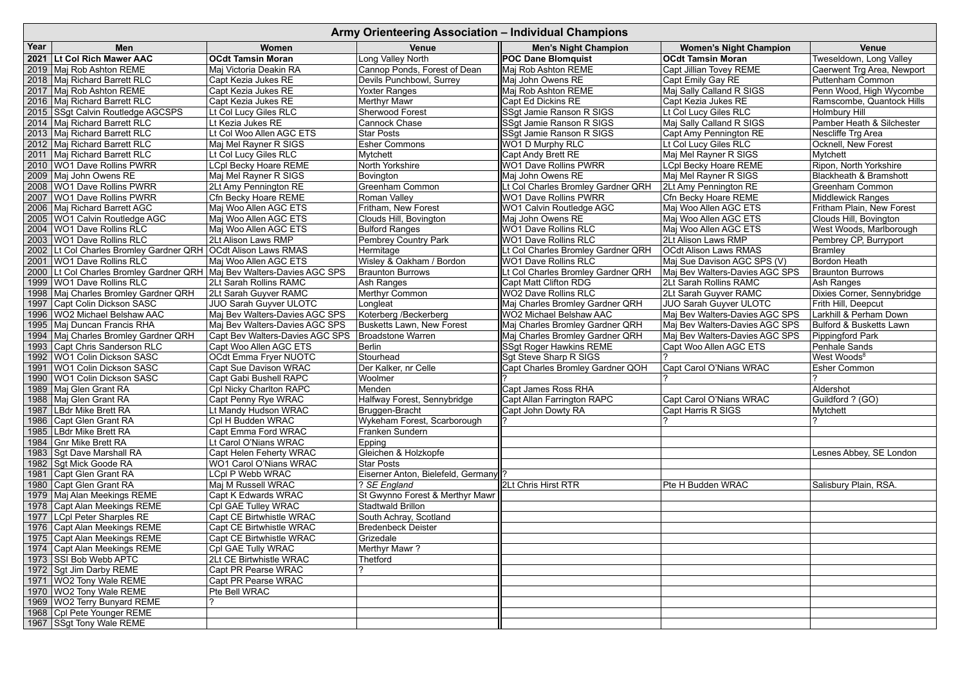|      | Army Orienteering Association - Individual Champions                       |                                            |                                                    |                                   |                                |                                   |  |  |  |
|------|----------------------------------------------------------------------------|--------------------------------------------|----------------------------------------------------|-----------------------------------|--------------------------------|-----------------------------------|--|--|--|
| Year | <b>Men</b>                                                                 | <b>Women</b>                               | <b>Venue</b>                                       | <b>Men's Night Champion</b>       | <b>Women's Night Champion</b>  | <b>Venue</b>                      |  |  |  |
|      | 2021 Lt Col Rich Mawer AAC                                                 | <b>OCdt Tamsin Moran</b>                   | Long Valley North                                  | <b>POC Dane Blomquist</b>         | <b>OCdt Tamsin Moran</b>       | Tweseldown, Long Valley           |  |  |  |
|      | 2019   Maj Rob Ashton REME                                                 | Maj Victoria Deakin RA                     | Cannop Ponds, Forest of Dean                       | Maj Rob Ashton REME               | Capt Jillian Tovey REME        | Caerwent Trg Area, Newport        |  |  |  |
|      | 2018   Maj Richard Barrett RLC                                             | Capt Kezia Jukes RE                        | Devils Punchbowl, Surrey                           | Maj John Owens RE                 | Capt Emily Gay RE              | <b>Puttenham Common</b>           |  |  |  |
|      | 2017   Maj Rob Ashton REME                                                 | Capt Kezia Jukes RE                        | <b>Yoxter Ranges</b>                               | Maj Rob Ashton REME               | Maj Sally Calland R SIGS       | Penn Wood, High Wycombe           |  |  |  |
|      | 2016   Maj Richard Barrett RLC                                             | Capt Kezia Jukes RE                        | <b>Merthyr Mawr</b>                                | Capt Ed Dickins RE                | Capt Kezia Jukes RE            | Ramscombe, Quantock Hills         |  |  |  |
|      | 2015 SSgt Calvin Routledge AGCSPS                                          | Lt Col Lucy Giles RLC                      | Sherwood Forest                                    | SSgt Jamie Ranson R SIGS          | Lt Col Lucy Giles RLC          | <b>Holmbury Hill</b>              |  |  |  |
| 2014 | Maj Richard Barrett RLC                                                    | Lt Kezia Jukes RE                          | <b>Cannock Chase</b>                               | SSgt Jamie Ranson R SIGS          | Maj Sally Calland R SIGS       | Pamber Heath & Silchester         |  |  |  |
|      | 2013   Maj Richard Barrett RLC                                             | Lt Col Woo Allen AGC ETS                   | <b>Star Posts</b>                                  | SSgt Jamie Ranson R SIGS          | Capt Amy Pennington RE         | Nescliffe Trg Area                |  |  |  |
|      | 2012   Maj Richard Barrett RLC                                             | Maj Mel Rayner R SIGS                      | <b>Esher Commons</b>                               | <b>WO1 D Murphy RLC</b>           | Lt Col Lucy Giles RLC          | <b>Ocknell, New Forest</b>        |  |  |  |
|      | 2011   Maj Richard Barrett RLC                                             | Lt Col Lucy Giles RLC                      | Mytchett                                           | <b>Capt Andy Brett RE</b>         | Maj Mel Rayner R SIGS          | Mytchett                          |  |  |  |
|      | 2010   WO1 Dave Rollins PWRR                                               | <b>LCpl Becky Hoare REME</b>               | North Yorkshire                                    | <b>WO1 Dave Rollins PWRR</b>      | <b>LCpl Becky Hoare REME</b>   | Ripon, North Yorkshire            |  |  |  |
| 2009 | Maj John Owens RE                                                          | Maj Mel Rayner R SIGS                      | Bovington                                          | Maj John Owens RE                 | Maj Mel Rayner R SIGS          | <b>Blackheath &amp; Bramshott</b> |  |  |  |
| 2008 | <b>WO1 Dave Rollins PWRR</b>                                               | 2Lt Amy Pennington RE                      | <b>Greenham Common</b>                             | t Col Charles Bromley Gardner QRH | 2Lt Amy Pennington RE          | <b>Greenham Common</b>            |  |  |  |
|      | 2007   WO1 Dave Rollins PWRR                                               | <b>Cfn Becky Hoare REME</b>                | Roman Valley                                       | <b>WO1 Dave Rollins PWRR</b>      | Cfn Becky Hoare REME           | <b>Middlewick Ranges</b>          |  |  |  |
|      | 2006   Maj Richard Barrett AGC                                             | Maj Woo Allen AGC ETS                      | Fritham, New Forest                                | WO1 Calvin Routledge AGC          | Maj Woo Allen AGC ETS          | Fritham Plain, New Forest         |  |  |  |
|      | 2005   WO1 Calvin Routledge AGC                                            | Maj Woo Allen AGC ETS                      | Clouds Hill, Bovington                             | Maj John Owens RE                 | Maj Woo Allen AGC ETS          | Clouds Hill, Bovington            |  |  |  |
| 2004 | <b>WO1 Dave Rollins RLC</b>                                                | Maj Woo Allen AGC ETS                      | <b>Bulford Ranges</b>                              | <b>WO1 Dave Rollins RLC</b>       | Maj Woo Allen AGC ETS          | West Woods, Marlborough           |  |  |  |
| 2003 | <b>WO1 Dave Rollins RLC</b>                                                | 2Lt Alison Laws RMP                        | Pembrey Country Park                               | WO1 Dave Rollins RLC              | 2Lt Alison Laws RMP            | Pembrey CP, Burryport             |  |  |  |
| 2002 | Lt Col Charles Bromley Gardner QRH   OCdt Alison Laws RMAS                 |                                            | Hermitage                                          | t Col Charles Bromley Gardner QRH | <b>OCdt Alison Laws RMAS</b>   | Bramley                           |  |  |  |
| 2001 | <b>WO1 Dave Rollins RLC</b>                                                | Maj Woo Allen AGC ETS                      | Wisley & Oakham / Bordon                           | <b>WO1 Dave Rollins RLC</b>       | Maj Sue Davison AGC SPS (V)    | Bordon Heath                      |  |  |  |
|      | 2000   Lt Col Charles Bromley Gardner QRH   Maj Bev Walters-Davies AGC SPS |                                            | <b>Braunton Burrows</b>                            | t Col Charles Bromley Gardner QRH | Maj Bev Walters-Davies AGC SPS | <b>Braunton Burrows</b>           |  |  |  |
|      | 1999   WO1 Dave Rollins RLC                                                | 2Lt Sarah Rollins RAMC                     | Ash Ranges                                         | <b>Capt Matt Clifton RDG</b>      | 2Lt Sarah Rollins RAMC         | Ash Ranges                        |  |  |  |
| 1998 | Maj Charles Bromley Gardner QRH                                            | 2Lt Sarah Guyver RAMC                      | <b>Merthyr Common</b>                              | <b>WO2 Dave Rollins RLC</b>       | 2Lt Sarah Guyver RAMC          | Dixies Corner, Sennybridge        |  |  |  |
| 1997 | Capt Colin Dickson SASC                                                    | <b>JUO Sarah Guyver ULOTC</b>              | Longleat                                           | Maj Charles Bromley Gardner QRH   | <b>JUO Sarah Guyver ULOTC</b>  | Frith Hill, Deepcut               |  |  |  |
| 1996 | <b>WO2 Michael Belshaw AAC</b>                                             | Maj Bev Walters-Davies AGC SPS             | Koterberg /Beckerberg                              | <b>WO2 Michael Belshaw AAC</b>    | Maj Bev Walters-Davies AGC SPS | Larkhill & Perham Down            |  |  |  |
| 1995 | Maj Duncan Francis RHA                                                     | Maj Bev Walters-Davies AGC SPS             | <b>Busketts Lawn, New Forest</b>                   | Maj Charles Bromley Gardner QRH   | Maj Bev Walters-Davies AGC SPS | Bulford & Busketts Lawn           |  |  |  |
| 1994 | Maj Charles Bromley Gardner QRH                                            | Capt Bev Walters-Davies AGC SPS            | <b>Broadstone Warren</b>                           | Maj Charles Bromley Gardner QRH   | Maj Bev Walters-Davies AGC SPS | Pippingford Park                  |  |  |  |
| 1993 | Capt Chris Sanderson RLC                                                   | Capt Woo Allen AGC ETS                     | Berlin                                             | <b>SSgt Roger Hawkins REME</b>    | Capt Woo Allen AGC ETS         | <b>Penhale Sands</b>              |  |  |  |
| 1992 | <b>WO1 Colin Dickson SASC</b>                                              | OCdt Emma Fryer NUOTC                      | Stourhead                                          | Sgt Steve Sharp R SIGS            |                                | West Woods <sup>8</sup>           |  |  |  |
| 1991 | <b>WO1 Colin Dickson SASC</b>                                              | <b>Capt Sue Davison WRAC</b>               | Der Kalker, nr Celle                               | Capt Charles Bromley Gardner QOH  | Capt Carol O'Nians WRAC        | <b>Esher Common</b>               |  |  |  |
|      | 1990   WO1 Colin Dickson SASC                                              | <b>Capt Gabi Bushell RAPC</b>              | Woolmer                                            |                                   |                                |                                   |  |  |  |
|      | 1989 Maj Glen Grant RA                                                     | Cpl Nicky Charlton RAPC                    | Menden                                             | <b>Capt James Ross RHA</b>        |                                | Aldershot                         |  |  |  |
|      | 1988   Maj Glen Grant RA                                                   | Capt Penny Rye WRAC                        | Halfway Forest, Sennybridge                        | Capt Allan Farrington RAPC        | Capt Carol O'Nians WRAC        | Guildford ? (GO)                  |  |  |  |
|      | 1987   LBdr Mike Brett RA                                                  | Lt Mandy Hudson WRAC                       | Bruggen-Bracht                                     | Capt John Dowty RA                | <b>Capt Harris R SIGS</b>      | Mytchett                          |  |  |  |
|      | 1986 Capt Glen Grant RA                                                    | Cpl H Budden WRAC                          | Wykeham Forest, Scarborough                        |                                   |                                |                                   |  |  |  |
|      | 1985   LBdr Mike Brett RA                                                  | Capt Emma Ford WRAC                        | Franken Sundern                                    |                                   |                                |                                   |  |  |  |
|      | 1984 Gnr Mike Brett RA                                                     | Lt Carol O'Nians WRAC                      | <b>Epping</b>                                      |                                   |                                |                                   |  |  |  |
|      | 1983 Sgt Dave Marshall RA                                                  | Capt Helen Feherty WRAC                    | Gleichen & Holzkopfe                               |                                   |                                | Lesnes Abbey, SE London           |  |  |  |
|      | 1982 Sgt Mick Goode RA                                                     | <b>WO1 Carol O'Nians WRAC</b>              | <b>Star Posts</b>                                  |                                   |                                |                                   |  |  |  |
|      | 1981 Capt Glen Grant RA                                                    | <b>LCpl P Webb WRAC</b>                    | Eiserner Anton, Bielefeld, Germany  ?              | 2Lt Chris Hirst RTR               |                                |                                   |  |  |  |
|      | 1980 Capt Glen Grant RA                                                    | Maj M Russell WRAC                         | $ ?$ SE England<br>St Gwynno Forest & Merthyr Mawr |                                   | Pte H Budden WRAC              | Salisbury Plain, RSA.             |  |  |  |
|      | 1979   Maj Alan Meekings REME                                              | Capt K Edwards WRAC<br>Cpl GAE Tulley WRAC | Stadtwald Brillon                                  |                                   |                                |                                   |  |  |  |
|      | 1978 Capt Alan Meekings REME<br>1977   LCpl Peter Sharples RE              | Capt CE Birtwhistle WRAC                   | South Achray, Scotland                             |                                   |                                |                                   |  |  |  |
|      | 1976 Capt Alan Meekings REME                                               | Capt CE Birtwhistle WRAC                   | <b>Bredenbeck Deister</b>                          |                                   |                                |                                   |  |  |  |
|      | 1975 Capt Alan Meekings REME                                               | Capt CE Birtwhistle WRAC                   | Grizedale                                          |                                   |                                |                                   |  |  |  |
|      | 1974 Capt Alan Meekings REME                                               | CpI GAE Tully WRAC                         | Merthyr Mawr?                                      |                                   |                                |                                   |  |  |  |
|      | 1973 SSI Bob Webb APTC                                                     | 2Lt CE Birtwhistle WRAC                    | <b>Thetford</b>                                    |                                   |                                |                                   |  |  |  |
|      | 1972   Sgt Jim Darby REME                                                  | Capt PR Pearse WRAC                        |                                                    |                                   |                                |                                   |  |  |  |
|      | 1971   WO2 Tony Wale REME                                                  | <b>Capt PR Pearse WRAC</b>                 |                                                    |                                   |                                |                                   |  |  |  |
|      | 1970   WO2 Tony Wale REME                                                  | Pte Bell WRAC                              |                                                    |                                   |                                |                                   |  |  |  |
|      | 1969 WO2 Terry Bunyard REME                                                |                                            |                                                    |                                   |                                |                                   |  |  |  |
|      | 1968 Cpl Pete Younger REME                                                 |                                            |                                                    |                                   |                                |                                   |  |  |  |
|      | 1967 SSgt Tony Wale REME                                                   |                                            |                                                    |                                   |                                |                                   |  |  |  |
|      |                                                                            |                                            |                                                    |                                   |                                |                                   |  |  |  |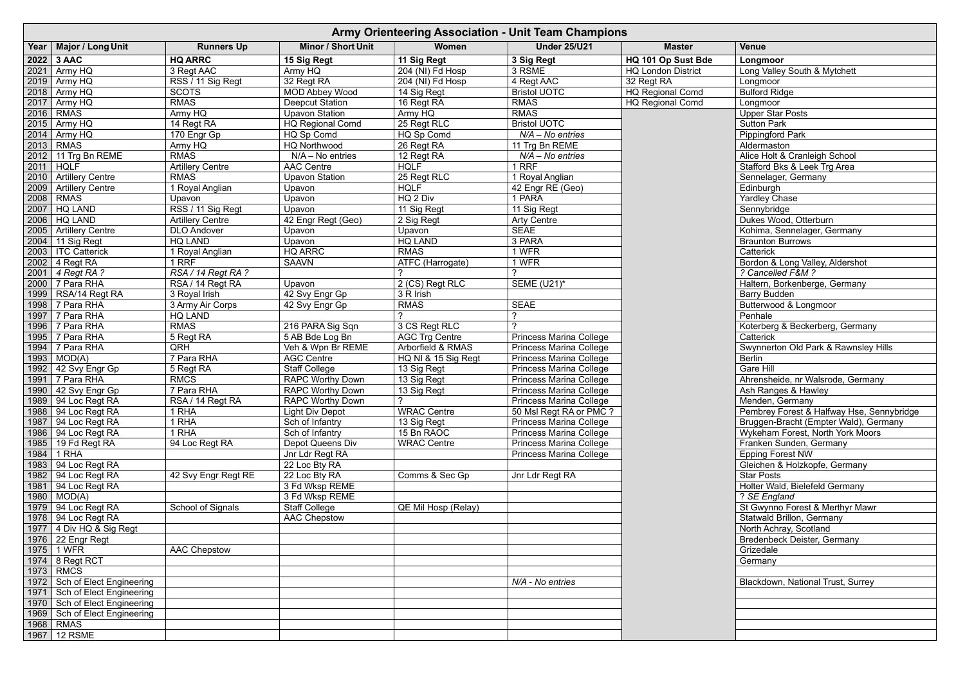|      | <b>Army Orienteering Association - Unit Team Champions</b> |                         |                           |                       |                                |                           |                                           |  |  |
|------|------------------------------------------------------------|-------------------------|---------------------------|-----------------------|--------------------------------|---------------------------|-------------------------------------------|--|--|
| Year | Major / Long Unit                                          | <b>Runners Up</b>       | <b>Minor / Short Unit</b> | Women                 | <b>Under 25/U21</b>            | <b>Master</b>             | <b>Venue</b>                              |  |  |
|      | 2022 3 AAC                                                 | <b>HQ ARRC</b>          | 15 Sig Regt               | 11 Sig Regt           | 3 Sig Regt                     | HQ 101 Op Sust Bde        | Longmoor                                  |  |  |
|      | 2021   Army HQ                                             | 3 Regt AAC              | Army HQ                   | 204 (NI) Fd Hosp      | 3 RSME                         | <b>HQ London District</b> | Long Valley South & Mytchett              |  |  |
|      | $2019$ Army HQ                                             | RSS / 11 Sig Regt       | 32 Regt RA                | 204 (NI) Fd Hosp      | $4$ Regt AAC                   | 32 Regt RA                | Longmoor                                  |  |  |
|      | 2018   Army HQ                                             | <b>SCOTS</b>            | <b>MOD Abbey Wood</b>     | 14 Sig Regt           | <b>Bristol UOTC</b>            | <b>HQ Regional Comd</b>   | <b>Bulford Ridge</b>                      |  |  |
| 2017 | Army HQ                                                    | <b>RMAS</b>             | <b>Deepcut Station</b>    | 16 Regt RA            | <b>RMAS</b>                    | <b>HQ Regional Comd</b>   | Longmoor                                  |  |  |
| 2016 | <b>RMAS</b>                                                | Army $HQ$               | <b>Upavon Station</b>     | Army HQ               | <b>RMAS</b>                    |                           | <b>Upper Star Posts</b>                   |  |  |
|      | 2015   Army HQ                                             | 14 Regt RA              | <b>HQ Regional Comd</b>   | 25 Regt RLC           | <b>Bristol UOTC</b>            |                           | <b>Sutton Park</b>                        |  |  |
|      | 2014   Army HQ                                             | 170 Engr Gp             | HQ Sp Comd                | HQ Sp Comd            | $N/A - No$ entries             |                           | <b>Pippingford Park</b>                   |  |  |
|      | 2013 RMAS                                                  | Army HQ                 | <b>HQ Northwood</b>       | 26 Regt RA            | 11 Trg Bn REME                 |                           | Aldermaston                               |  |  |
|      | 2012   11 Trg Bn REME                                      | <b>RMAS</b>             | $N/A - No$ entries        | 12 Regt RA            | N/A - No entries               |                           | Alice Holt & Cranleigh School             |  |  |
|      | $2011$ HQLF                                                | <b>Artillery Centre</b> | <b>AAC Centre</b>         | <b>HQLF</b>           | 1 RRF                          |                           | Stafford Bks & Leek Trg Area              |  |  |
| 2010 | <b>Artillery Centre</b>                                    | <b>RMAS</b>             | <b>Upavon Station</b>     | 25 Regt RLC           | 1 Royal Anglian                |                           | Sennelager, Germany                       |  |  |
| 2009 | <b>Artillery Centre</b>                                    | 1 Royal Anglian         | Upavon                    | <b>HQLF</b>           | 42 Engr RE (Geo)               |                           | Edinburgh                                 |  |  |
| 2008 | <b>RMAS</b>                                                | Upavon                  | Upavon                    | HQ 2 Div              | 1 PARA                         |                           | <b>Yardley Chase</b>                      |  |  |
| 2007 | <b>HQ LAND</b>                                             | RSS / 11 Sig Regt       | Upavon                    | 11 Sig Regt           | 11 Sig Regt                    |                           | Sennybridge                               |  |  |
|      | 2006   HQ LAND                                             | <b>Artillery Centre</b> | 42 Engr Regt (Geo)        | 2 Sig Regt            | <b>Arty Centre</b>             |                           | Dukes Wood, Otterburn                     |  |  |
| 2005 | <b>Artillery Centre</b>                                    | <b>DLO Andover</b>      | Upavon                    | Upavon                | <b>SEAE</b>                    |                           | Kohima, Sennelager, Germany               |  |  |
| 2004 | 11 Sig Regt                                                | <b>HQ LAND</b>          | Upavon                    | <b>HQ LAND</b>        | 3 PARA                         |                           | <b>Braunton Burrows</b>                   |  |  |
|      | 2003   ITC Catterick                                       | 1 Royal Anglian         | HQ ARRC                   | <b>RMAS</b>           | 1 WFR                          |                           | Catterick                                 |  |  |
|      | 2002 4 Regt RA                                             | 1 RRF                   | <b>SAAVN</b>              | ATFC (Harrogate)      | 1 WFR                          |                           | Bordon & Long Valley, Aldershot           |  |  |
|      | 2001   4 Regt RA ?                                         | RSA / 14 Regt RA?       |                           |                       |                                |                           | ? Cancelled F&M ?                         |  |  |
|      | 2000 7 Para RHA                                            | RSA / 14 Regt RA        | Upavon                    | $2$ (CS) Regt RLC     | <b>SEME (U21)*</b>             |                           | Haltern, Borkenberge, Germany             |  |  |
| 1999 | RSA/14 Regt RA                                             | 3 Royal Irish           | 42 Svy Engr Gp            | 3 R Irish             |                                |                           | <b>Barry Budden</b>                       |  |  |
|      | 1998 7 Para RHA                                            | 3 Army Air Corps        | 42 Svy Engr Gp            | <b>RMAS</b>           | <b>SEAE</b>                    |                           | Butterwood & Longmoor                     |  |  |
| 1997 | 7 Para RHA                                                 | <b>HQ LAND</b>          |                           |                       |                                |                           | Penhale                                   |  |  |
|      | 1996 7 Para RHA                                            | <b>RMAS</b>             | 216 PARA Sig Sqn          | 3 CS Regt RLC         |                                |                           | Koterberg & Beckerberg, Germany           |  |  |
|      | 1995 7 Para RHA                                            | 5 Regt RA               | 5 AB Bde Log Bn           | <b>AGC Trg Centre</b> | Princess Marina College        |                           | Catterick                                 |  |  |
|      | 1994 7 Para RHA                                            | QRH                     | Veh & Wpn Br REME         | Arborfield & RMAS     | <b>Princess Marina College</b> |                           | Swynnerton Old Park & Rawnsley Hills      |  |  |
|      | $1993$ MOD(A)                                              | 7 Para RHA              | <b>AGC Centre</b>         | HQ NI & 15 Sig Regt   | <b>Princess Marina College</b> |                           | <b>Berlin</b>                             |  |  |
| 1992 | 42 Svy Engr Gp                                             | 5 Regt RA               | Staff College             | 13 Sig Regt           | <b>Princess Marina College</b> |                           | <b>Gare Hill</b>                          |  |  |
|      | 1991 7 Para RHA                                            | <b>RMCS</b>             | <b>RAPC Worthy Down</b>   | 13 Sig Regt           | <b>Princess Marina College</b> |                           | Ahrensheide, nr Walsrode, Germany         |  |  |
|      | 1990   42 Svy Engr Gp                                      | 7 Para RHA              | <b>RAPC Worthy Down</b>   | 13 Sig Regt           | <b>Princess Marina College</b> |                           | Ash Ranges & Hawley                       |  |  |
|      | 1989   94 Loc Regt RA                                      | RSA / 14 Regt RA        | <b>RAPC Worthy Down</b>   |                       | Princess Marina College        |                           | Menden, Germany                           |  |  |
|      | 1988   94 Loc Regt RA                                      | 1 RHA                   | <b>Light Div Depot</b>    | <b>WRAC Centre</b>    | 50 Msl Regt RA or PMC ?        |                           | Pembrey Forest & Halfway Hse, Sennybridge |  |  |
|      | 1987   94 Loc Regt RA                                      | 1 RHA                   | Sch of Infantry           | 13 Sig Regt           | <b>Princess Marina College</b> |                           | Bruggen-Bracht (Empter Wald), Germany     |  |  |
|      | 1986   94 Loc Regt RA                                      | 1 RHA                   | Sch of Infantry           | 15 Bn RAOC            | Princess Marina College        |                           | Wykeham Forest, North York Moors          |  |  |
|      | 1985   19 Fd Regt RA                                       | 94 Loc Regt RA          | Depot Queens Div          | <b>WRAC Centre</b>    | Princess Marina College        |                           | Franken Sunden, Germany                   |  |  |
| 1984 | 1 RHA                                                      |                         | Jnr Ldr Regt RA           |                       | Princess Marina College        |                           | <b>Epping Forest NW</b>                   |  |  |
|      | 1983 94 Loc Regt RA                                        |                         | 22 Loc Bty RA             |                       |                                |                           | Gleichen & Holzkopfe, Germany             |  |  |
|      | 1982 94 Loc Regt RA                                        | 42 Svy Engr Regt RE     | 22 Loc Bty RA             | Comms & Sec Gp        | Jnr Ldr Regt RA                |                           | <b>Star Posts</b>                         |  |  |
|      | 1981   94 Loc Regt RA                                      |                         | 3 Fd Wksp REME            |                       |                                |                           | Holter Wald, Bielefeld Germany            |  |  |
|      | $1980$   MOD(A)                                            |                         | 3 Fd Wksp REME            |                       |                                |                           | ? SE England                              |  |  |
|      | 1979   94 Loc Regt RA                                      | School of Signals       | <b>Staff College</b>      | QE Mil Hosp (Relay)   |                                |                           | St Gwynno Forest & Merthyr Mawr           |  |  |
|      | 1978   94 Loc Regt RA                                      |                         | <b>AAC Chepstow</b>       |                       |                                |                           | <b>Statwald Brillon, Germany</b>          |  |  |
|      | 1977   4 Div HQ & Sig Regt                                 |                         |                           |                       |                                |                           | North Achray, Scotland                    |  |  |
|      | 1976   22 Engr Regt                                        |                         |                           |                       |                                |                           | <b>Bredenbeck Deister, Germany</b>        |  |  |
|      | 1975 1 WFR                                                 | <b>AAC Chepstow</b>     |                           |                       |                                |                           | Grizedale                                 |  |  |
|      | 1974   8 Regt RCT                                          |                         |                           |                       |                                |                           | Germany                                   |  |  |
|      | 1973 RMCS                                                  |                         |                           |                       |                                |                           |                                           |  |  |
|      | 1972   Sch of Elect Engineering                            |                         |                           |                       | N/A - No entries               |                           | <b>Blackdown, National Trust, Surrey</b>  |  |  |
| 1971 | Sch of Elect Engineering                                   |                         |                           |                       |                                |                           |                                           |  |  |
| 1970 | Sch of Elect Engineering                                   |                         |                           |                       |                                |                           |                                           |  |  |
| 1969 | Sch of Elect Engineering                                   |                         |                           |                       |                                |                           |                                           |  |  |
| 1968 | <b>RMAS</b>                                                |                         |                           |                       |                                |                           |                                           |  |  |
|      | 1967   12 RSME                                             |                         |                           |                       |                                |                           |                                           |  |  |

| <b>Venue</b>                                                  |
|---------------------------------------------------------------|
| Longmoor                                                      |
| Long Valley South & Mytchett                                  |
| Longmoor                                                      |
| <b>Bulford Ridge</b>                                          |
| Longmoor                                                      |
| <b>Upper Star Posts</b>                                       |
| Sutton Park                                                   |
| <b>Pippingford Park</b>                                       |
| Aldermaston                                                   |
| Alice Holt & Cranleigh School<br>Stafford Bks & Leek Trg Area |
| Sennelager, Germany                                           |
| Edinburgh                                                     |
| <b>Yardley Chase</b>                                          |
| Sennybridge                                                   |
| Dukes Wood, Otterburn                                         |
| Kohima, Sennelager, Germany                                   |
| <b>Braunton Burrows</b>                                       |
| Catterick                                                     |
| Bordon & Long Valley, Aldershot                               |
| ? Cancelled F&M ?                                             |
| Haltern, Borkenberge, Germany                                 |
| <b>Barry Budden</b>                                           |
| Butterwood & Longmoor                                         |
| Penhale                                                       |
| Koterberg & Beckerberg, Germany                               |
| Catterick                                                     |
| Swynnerton Old Park & Rawnsley Hills                          |
| <b>Berlin</b>                                                 |
| Gare Hill                                                     |
| Ahrensheide, nr Walsrode, Germany<br>Ash Ranges & Hawley      |
| Menden, Germany                                               |
| Pembrey Forest & Halfway Hse, Sennybridge                     |
| Bruggen-Bracht (Empter Wald), Germany                         |
| Wykeham Forest, North York Moors                              |
| Franken Sunden, Germany                                       |
| <b>Epping Forest NW</b>                                       |
| Gleichen & Holzkopfe, Germany                                 |
| <b>Star Posts</b>                                             |
| Holter Wald, Bielefeld Germany                                |
| ? SE England                                                  |
| St Gwynno Forest & Merthyr Mawr                               |
| Statwald Brillon, Germany                                     |
| North Achray, Scotland                                        |
| <b>Bredenbeck Deister, Germany</b>                            |
| Grizedale                                                     |
| Germany                                                       |
|                                                               |
| Blackdown, National Trust, Surrey                             |
|                                                               |
|                                                               |
|                                                               |
|                                                               |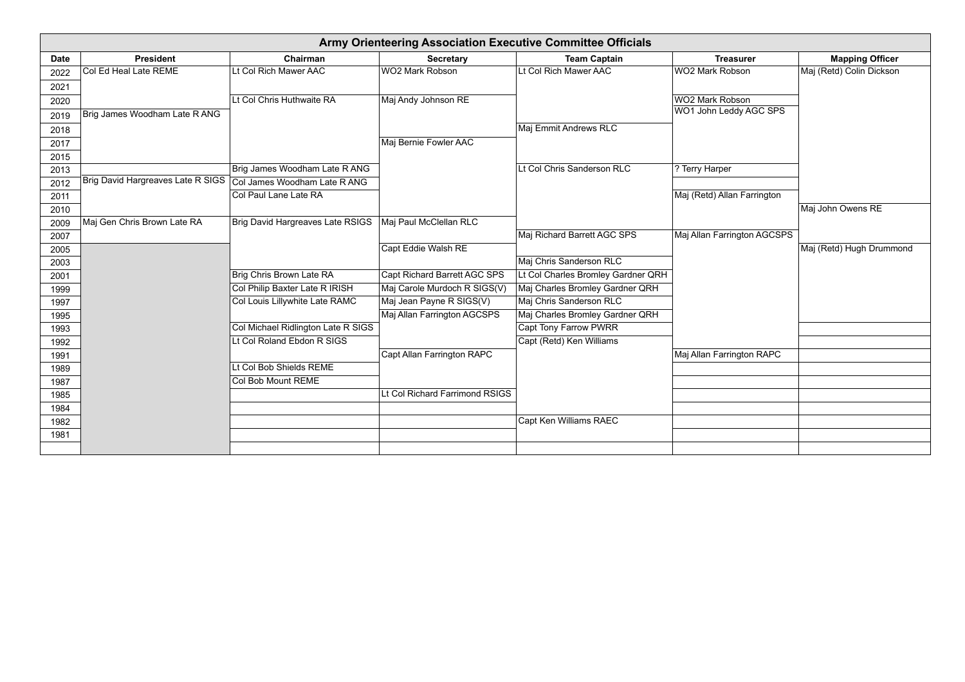|             | <b>Army Orienteering Association Executive Committee Officials</b> |                                         |                                     |                                    |                             |                          |  |  |  |
|-------------|--------------------------------------------------------------------|-----------------------------------------|-------------------------------------|------------------------------------|-----------------------------|--------------------------|--|--|--|
| <b>Date</b> | <b>President</b>                                                   | Chairman                                | <b>Secretary</b>                    | <b>Team Captain</b>                | <b>Treasurer</b>            | <b>Mapping Officer</b>   |  |  |  |
| 2022        | Col Ed Heal Late REME                                              | Lt Col Rich Mawer AAC                   | <b>WO2 Mark Robson</b>              | Lt Col Rich Mawer AAC              | <b>WO2 Mark Robson</b>      | Maj (Retd) Colin Dickson |  |  |  |
| 2021        |                                                                    |                                         |                                     |                                    |                             |                          |  |  |  |
| 2020        |                                                                    | Lt Col Chris Huthwaite RA               | Maj Andy Johnson RE                 |                                    | <b>WO2 Mark Robson</b>      |                          |  |  |  |
| 2019        | Brig James Woodham Late R ANG                                      |                                         |                                     |                                    | WO1 John Leddy AGC SPS      |                          |  |  |  |
| 2018        |                                                                    |                                         |                                     | Maj Emmit Andrews RLC              |                             |                          |  |  |  |
| 2017        |                                                                    |                                         | Maj Bernie Fowler AAC               |                                    |                             |                          |  |  |  |
| 2015        |                                                                    |                                         |                                     |                                    |                             |                          |  |  |  |
| 2013        |                                                                    | Brig James Woodham Late R ANG           |                                     | Lt Col Chris Sanderson RLC         | ? Terry Harper              |                          |  |  |  |
| 2012        | Brig David Hargreaves Late R SIGS                                  | Col James Woodham Late R ANG            |                                     |                                    |                             |                          |  |  |  |
| 2011        |                                                                    | Col Paul Lane Late RA                   |                                     |                                    | Maj (Retd) Allan Farrington |                          |  |  |  |
| 2010        |                                                                    |                                         |                                     |                                    |                             | Maj John Owens RE        |  |  |  |
| 2009        | Maj Gen Chris Brown Late RA                                        | <b>Brig David Hargreaves Late RSIGS</b> | Maj Paul McClellan RLC              |                                    |                             |                          |  |  |  |
| 2007        |                                                                    |                                         |                                     | Maj Richard Barrett AGC SPS        | Maj Allan Farrington AGCSPS |                          |  |  |  |
| 2005        |                                                                    |                                         | Capt Eddie Walsh RE                 |                                    |                             | Maj (Retd) Hugh Drummond |  |  |  |
| 2003        |                                                                    |                                         |                                     | Maj Chris Sanderson RLC            |                             |                          |  |  |  |
| 2001        |                                                                    | Brig Chris Brown Late RA                | <b>Capt Richard Barrett AGC SPS</b> | Lt Col Charles Bromley Gardner QRH |                             |                          |  |  |  |
| 1999        |                                                                    | Col Philip Baxter Late R IRISH          | Maj Carole Murdoch R SIGS(V)        | Maj Charles Bromley Gardner QRH    |                             |                          |  |  |  |
| 1997        |                                                                    | Col Louis Lillywhite Late RAMC          | Maj Jean Payne R SIGS(V)            | Maj Chris Sanderson RLC            |                             |                          |  |  |  |
| 1995        |                                                                    |                                         | Maj Allan Farrington AGCSPS         | Maj Charles Bromley Gardner QRH    |                             |                          |  |  |  |
| 1993        |                                                                    | Col Michael Ridlington Late R SIGS      |                                     | <b>Capt Tony Farrow PWRR</b>       |                             |                          |  |  |  |
| 1992        |                                                                    | Lt Col Roland Ebdon R SIGS              |                                     | Capt (Retd) Ken Williams           |                             |                          |  |  |  |
| 1991        |                                                                    |                                         | Capt Allan Farrington RAPC          |                                    | Maj Allan Farrington RAPC   |                          |  |  |  |
| 1989        |                                                                    | Lt Col Bob Shields REME                 |                                     |                                    |                             |                          |  |  |  |
| 1987        |                                                                    | Col Bob Mount REME                      |                                     |                                    |                             |                          |  |  |  |
| 1985        |                                                                    |                                         | Lt Col Richard Farrimond RSIGS      |                                    |                             |                          |  |  |  |
| 1984        |                                                                    |                                         |                                     |                                    |                             |                          |  |  |  |
| 1982        |                                                                    |                                         |                                     | Capt Ken Williams RAEC             |                             |                          |  |  |  |
| 1981        |                                                                    |                                         |                                     |                                    |                             |                          |  |  |  |
|             |                                                                    |                                         |                                     |                                    |                             |                          |  |  |  |

| asurer        | <b>Mapping Officer</b>   |
|---------------|--------------------------|
| bson          | Maj (Retd) Colin Dickson |
|               |                          |
| bson          |                          |
| ddy AGC SPS   |                          |
|               |                          |
|               |                          |
|               |                          |
| r             |                          |
|               |                          |
| an Farrington |                          |
|               | Maj John Owens RE        |
| ington AGCSPS |                          |
|               | Maj (Retd) Hugh Drummond |
|               |                          |
|               |                          |
|               |                          |
|               |                          |
|               |                          |
|               |                          |
|               |                          |
| ington RAPC   |                          |
|               |                          |
|               |                          |
|               |                          |
|               |                          |
|               |                          |
|               |                          |